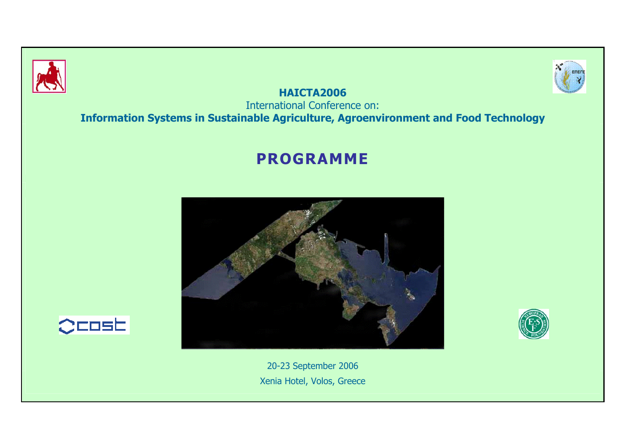



**HAICTA2006** International Conference on: **Information Systems in Sustainable Agriculture, Agroenvironment and Food Technology**

# **PROGRAMME**





20-23 September 2006 Xenia Hotel, Volos, Greece

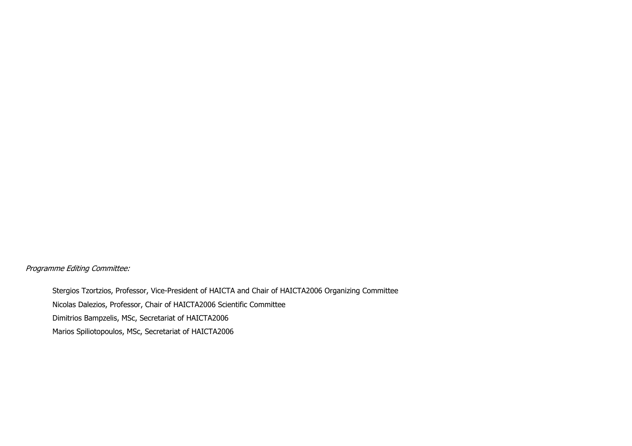Programme Editing Committee:

Stergios Tzortzios, Professor, Vice-President of HAICTA and Chair of HAICTA2006 Organizing Committee Nicolas Dalezios, Professor, Chair of HAICTA2006 Scientific Committee Dimitrios Bampzelis, MSc, Secretariat of HAICTA2006 Marios Spiliotopoulos, MSc, Secretariat of HAICTA2006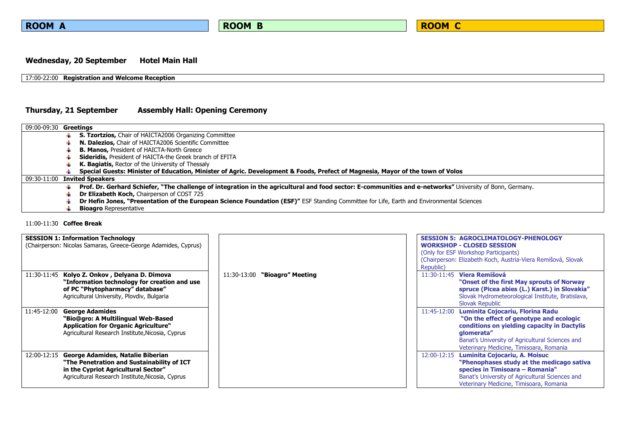### Wednesday, 20 September Hotel Main Hall

### 17:00-22:00 **Registration and Welcome Reception**

### **Thursday, 21 September Assembly Hall: Opening Ceremony**

| 09:00-09:30 <b>Greetings</b> |                                                                                                                                                           |
|------------------------------|-----------------------------------------------------------------------------------------------------------------------------------------------------------|
|                              | <b>S. Tzortzios, Chair of HAICTA2006 Organizing Committee</b>                                                                                             |
|                              | N. Dalezios, Chair of HAICTA2006 Scientific Committee                                                                                                     |
|                              | <b>B. Manos, President of HAICTA-North Greece</b>                                                                                                         |
|                              | <b>Sideridis, President of HAICTA-the Greek branch of EFITA</b>                                                                                           |
|                              | K. Bagiatis, Rector of the University of Thessaly                                                                                                         |
|                              | Special Guests: Minister of Education, Minister of Agric. Development & Foods, Prefect of Magnesia, Mayor of the town of Volos                            |
|                              | 09:30-11:00 Invited Speakers                                                                                                                              |
|                              | Prof. Dr. Gerhard Schiefer, "The challenge of integration in the agricultural and food sector: E-communities and e-networks" University of Bonn, Germany. |
|                              | <b>Dr Elizabeth Koch, Chairperson of COST 725</b>                                                                                                         |
|                              | Dr Hefin Jones, "Presentation of the European Science Foundation (ESF)" ESF Standing Committee for Life, Earth and Environmental Sciences                 |
|                              | <b>Bioagro</b> Representative                                                                                                                             |

### 11:00-11:30 **Coffee Break**

| <b>SESSION 1: Information Technology</b><br>(Chairperson: Nicolas Samaras, Greece-George Adamides, Cyprus)                                                                                |                                 | <b>SESSION 5: AGROCLIMATOLOGY-PHENOLOGY</b><br><b>WORKSHOP - CLOSED SESSION</b><br>(Only for ESF Workshop Participants)<br>(Chairperson: Elizabeth Koch, Austria-Viera Remišová, Slovak<br>Republic)                                                  |
|-------------------------------------------------------------------------------------------------------------------------------------------------------------------------------------------|---------------------------------|-------------------------------------------------------------------------------------------------------------------------------------------------------------------------------------------------------------------------------------------------------|
| Kolyo Z. Onkov, Delyana D. Dimova<br>11:30-11:45<br>"Information technology for creation and use<br>of PC "Phytopharmacy" database"<br>Agricultural University, Plovdiv, Bulgaria         | $11:30-13:00$ "Bioagro" Meeting | 11:30-11:45 Viera Remišová<br>"Onset of the first May sprouts of Norway"<br>spruce (Picea abies (L.) Karst.) in Slovakia"<br>Slovak Hydrometeorological Institute, Bratislava,<br>Slovak Republic                                                     |
| <b>George Adamides</b><br>11:45-12:00<br>"Bio@gro: A Multilingual Web-Based<br><b>Application for Organic Agriculture"</b><br>Agricultural Research Institute, Nicosia, Cyprus            |                                 | Luminita Cojocariu, Florina Radu<br>11:45-12:00<br>"On the effect of genotype and ecologic<br>conditions on yielding capacity in Dactylis<br>qlomerata"<br>Banat's University of Agricultural Sciences and<br>Veterinary Medicine, Timisoara, Romania |
| George Adamides, Natalie Biberian<br>12:00-12:15<br>"The Penetration and Sustainability of ICT<br>in the Cypriot Agricultural Sector"<br>Agricultural Research Institute, Nicosia, Cyprus |                                 | Luminita Cojocariu, A. Moisuc<br>12:00-12:15<br>"Phenophases study at the medicago sativa<br>species in Timisoara - Romania"<br>Banat's University of Agricultural Sciences and<br>Veterinary Medicine, Timisoara, Romania                            |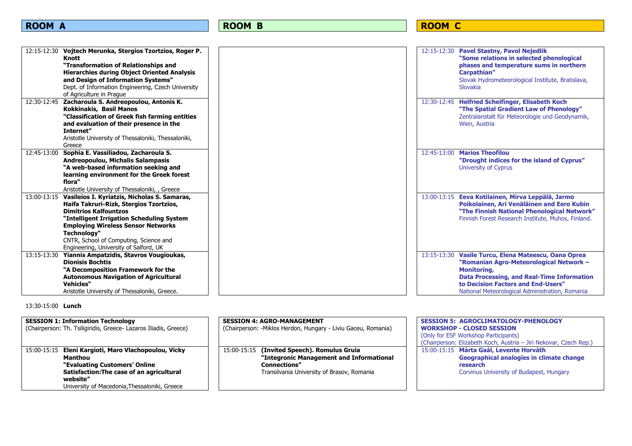| 12:15-12:30 Vojtech Merunka, Stergios Tzortzios, Roger P.<br>Knott<br>"Transformation of Relationships and<br><b>Hierarchies during Object Oriented Analysis</b><br>and Design of Information Systems"<br>Dept. of Information Engineering, Czech University                                                                                                                          |  | 12:15-12:30 Pavel Stastny, Pavol Nejedlik<br>"Some relations in selected phenological<br>phases and temperature sums in northern<br>Carpathian"<br>Slovak Hydrometeorological Institute, Bratislava,<br>Slovakia                                             |
|---------------------------------------------------------------------------------------------------------------------------------------------------------------------------------------------------------------------------------------------------------------------------------------------------------------------------------------------------------------------------------------|--|--------------------------------------------------------------------------------------------------------------------------------------------------------------------------------------------------------------------------------------------------------------|
| of Agriculture in Prague<br>12:30-12:45                                                                                                                                                                                                                                                                                                                                               |  |                                                                                                                                                                                                                                                              |
| Zacharoula S. Andreopoulou, Antonis K.<br><b>Kokkinakis, Basil Manos</b><br>"Classification of Greek fish farming entities<br>and evaluation of their presence in the<br>Internet"                                                                                                                                                                                                    |  | 12:30-12:45 Helfried Scheifinger, Elisabeth Koch<br>"The Spatial Gradient Law of Phenology"<br>Zentralanstalt für Meteorologie und Geodynamik,<br>Wien, Austria                                                                                              |
| Aristotle University of Thessaloniki, Thessaloniki,<br>Greece                                                                                                                                                                                                                                                                                                                         |  |                                                                                                                                                                                                                                                              |
| Sophia E. Vassiliadou, Zacharoula S.<br>12:45-13:00<br>Andreopoulou, Michalis Salampasis<br>"A web-based information seeking and<br>learning environment for the Greek forest<br>flora"                                                                                                                                                                                               |  | 12:45-13:00 Marios Theofilou<br>"Drought indices for the island of Cyprus"<br><b>University of Cyprus</b>                                                                                                                                                    |
| Aristotle University of Thessaloniki, , Greece<br>Vasileios I. Kyriatzis, Nicholas S. Samaras,<br>13:00-13:15<br>Haifa Takruri-Rizk, Stergios Tzortzios,<br><b>Dimitrios Kalfountzos</b><br>"Intelligent Irrigation Scheduling System<br><b>Employing Wireless Sensor Networks</b><br>Technology"<br>CNTR, School of Computing, Science and<br>Engineering, University of Salford, UK |  | 13:00-13:15 Eeva Kotilainen, Mirva Leppälä, Jarmo<br>Poikolainen, Ari Venäläinen and Eero Kubin<br>"The Finnish National Phenological Network"<br>Finnish Forest Research Institute, Muhos, Finland.                                                         |
| 13:15-13:30<br>Yiannis Ampatzidis, Stavros Vougioukas,<br><b>Dionisis Bochtis</b><br>"A Decomposition Framework for the<br><b>Autonomous Navigation of Agricultural</b><br><b>Vehicles</b> "<br>Aristotle University of Thessaloniki, Greece.                                                                                                                                         |  | 13:15-13:30 Vasile Turcu, Elena Mateescu, Oana Oprea<br>"Romanian Agro-Meteorological Network -<br>Monitoring,<br><b>Data Processing, and Real-Time Information</b><br>to Decision Factors and End-Users"<br>National Meteorological Administration, Romania |

### 13:30-15:00 **Lunch**

| <b>SESSION 1: Information Technology</b><br>(Chairperson: Th. Tsiligiridis, Greece- Lazaros Iliadis, Greece)                                                                                               | <b>SESSION 4: AGRO-MANAGEMENT</b><br>(Chairperson: -Miklos Herdon, Hungary - Liviu Gaceu, Romania)                                                           | <b>SESSION 5: AGROCLIMATOLOGY-PHENOLOGY</b><br><b>WORKSHOP - CLOSED SESSION</b><br>(Only for ESF Workshop Participants)<br>(Chairperson: Elizabeth Koch, Austria - Jiri Nekovar, Czech Rep.) |
|------------------------------------------------------------------------------------------------------------------------------------------------------------------------------------------------------------|--------------------------------------------------------------------------------------------------------------------------------------------------------------|----------------------------------------------------------------------------------------------------------------------------------------------------------------------------------------------|
| 15:00-15:15 Eleni Kargioti, Maro Vlachopoulou, Vicky<br>Manthou<br>"Evaluating Customers' Online<br>Satisfaction: The case of an agricultural<br>website"<br>University of Macedonia, Thessaloniki, Greece | 15:00-15:15 (Invited Speech). Romulus Gruia<br>"Integronic Management and Informational<br><b>Connections"</b><br>Transilvania University of Brasov, Romania | 15:00-15:15 Márta Gaál, Levente Horváth<br>Geographical analogies in climate change<br>research<br>Corvinus University of Budapest, Hungary                                                  |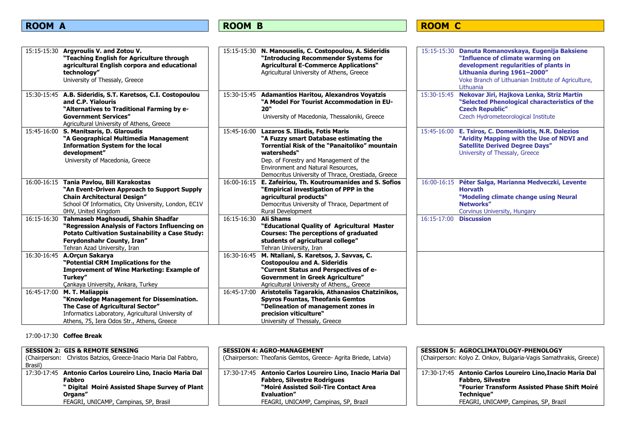## ROOM C

|             | 15:15-15:30 Argyroulis V. and Zotou V.<br>"Teaching English for Agriculture through<br>agricultural English corpora and educational<br>technology"<br>University of Thessaly, Greece<br>15:30-15:45 A.B. Sideridis, S.T. Karetsos, C.I. Costopoulou | 15:30-15:45 | 15:15-15:30 N. Manouselis, C. Costopoulou, A. Sideridis<br>"Introducing Recommender Systems for<br><b>Agricultural E-Commerce Applications"</b><br>Agricultural University of Athens, Greece<br><b>Adamantios Haritou, Alexandros Voyatzis</b>                                                | 15:30-15:45 | 15:15-15:30 Danuta Romanovskaya, Eugenija Baksiene<br>"Influence of climate warming on<br>development regularities of plants in<br>Lithuania during 1961-2000"<br>Voke Branch of Lithuanian Institute of Agriculture,<br>Lithuania<br>Nekovar Jiri, Hajkova Lenka, Striz Martin |
|-------------|-----------------------------------------------------------------------------------------------------------------------------------------------------------------------------------------------------------------------------------------------------|-------------|-----------------------------------------------------------------------------------------------------------------------------------------------------------------------------------------------------------------------------------------------------------------------------------------------|-------------|---------------------------------------------------------------------------------------------------------------------------------------------------------------------------------------------------------------------------------------------------------------------------------|
|             | and C.P. Yialouris<br>"Alternatives to Traditional Farming by e-<br><b>Government Services"</b><br>Agricultural University of Athens, Greece                                                                                                        |             | "A Model For Tourist Accommodation in EU-<br>20"<br>University of Macedonia, Thessaloniki, Greece                                                                                                                                                                                             |             | "Selected Phenological characteristics of the<br><b>Czech Republic"</b><br>Czech Hydrometeorological Institute                                                                                                                                                                  |
|             | 15:45-16:00 S. Manitsaris, D. Glaroudis<br>"A Geographical Multimedia Management<br><b>Information System for the local</b><br>development"<br>University of Macedonia, Greece                                                                      | 15:45-16:00 | <b>Lazaros S. Iliadis, Fotis Maris</b><br>"A Fuzzy smart Database estimating the<br><b>Torrential Risk of the "Panaitoliko" mountain</b><br>watersheds"<br>Dep. of Forestry and Management of the<br>Environment and Natural Resources,<br>Democritus University of Thrace, Orestiada, Greece |             | 15:45-16:00 E. Tsiros, C. Domenikiotis, N.R. Dalezios<br>"Aridity Mapping with the Use of NDVI and<br><b>Satellite Derived Degree Days"</b><br>University of Thessaly, Greece                                                                                                   |
|             | 16:00-16:15 Tania Pavlou, Bill Karakostas<br>"An Event-Driven Approach to Support Supply<br><b>Chain Architectural Design"</b><br>School Of Informatics, City University, London, EC1V<br>0HV, United Kingdom                                       | 16:00-16:15 | E. Zafeiriou, Th. Koutroumanides and S. Sofios<br>"Empirical investigation of PPP in the<br>agricultural products"<br>Democritus University of Thrace, Department of<br>Rural Development                                                                                                     |             | 16:00-16:15 Péter Salga, Marianna Medveczki, Levente<br><b>Horvath</b><br>"Modeling climate change using Neural<br>Networks"<br>Corvinus University, Hungary                                                                                                                    |
|             | 16:15-16:30 Tahmaseb Maghsoudi, Shahin Shadfar<br>"Regression Analysis of Factors Influencing on<br><b>Potato Cultivation Sustainability a Case Study:</b><br>Ferydonshahr County, Iran"<br>Tehran Azad University, Iran                            | 16:15-16:30 | Ali Shams<br>"Educational Quality of Agricultural Master<br><b>Courses: The perceptions of graduated</b><br>students of agricultural college"<br>Tehran University, Iran                                                                                                                      | 16:15-17:00 | <b>Discussion</b>                                                                                                                                                                                                                                                               |
|             | 16:30-16:45 A.Orçun Sakarya<br>"Potential CRM Implications for the<br><b>Improvement of Wine Marketing: Example of</b><br>Turkey"<br>Cankaya University, Ankara, Turkey                                                                             | 16:30-16:45 | M. Ntaliani, S. Karetsos, J. Savvas, C.<br><b>Costopoulou and A. Sideridis</b><br>"Current Status and Perspectives of e-<br><b>Government in Greek Agriculture"</b><br>Agricultural University of Athens,, Greece                                                                             |             |                                                                                                                                                                                                                                                                                 |
| 16:45-17:00 | M. T. Maliappis<br>"Knowledge Management for Dissemination.<br>The Case of Agricultural Sector"<br>Informatics Laboratory, Agricultural University of<br>Athens, 75, Iera Odos Str., Athens, Greece                                                 | 16:45-17:00 | Aristotelis Tagarakis, Athanasios Chatzinikos,<br><b>Spyros Fountas, Theofanis Gemtos</b><br>"Delineation of management zones in<br>precision viticulture"<br>University of Thessaly, Greece                                                                                                  |             |                                                                                                                                                                                                                                                                                 |

17:00-17:30 **Coffee Break**

| <b>SESSION 2: GIS &amp; REMOTE SENSING</b><br>Christos Batzios, Greece-Inacio Maria Dal Fabbro,<br>(Chairperson:<br>Brasil)       | <b>SESSION 4: AGRO-MANAGEMENT</b><br>(Chairperson: Theofanis Gemtos, Greece- Agrita Briede, Latvia)                                                               | SESSION 5: AGROCLIMATOLOGY-PHENOLOGY<br>(Chairperson: Kolyo Z. Onkov, Bulgaria-Vagis Samathrakis, Greece)                                             |
|-----------------------------------------------------------------------------------------------------------------------------------|-------------------------------------------------------------------------------------------------------------------------------------------------------------------|-------------------------------------------------------------------------------------------------------------------------------------------------------|
| 17:30-17:45 Antonio Carlos Loureiro Lino, Inacio Maria Dal<br>Fabbro<br>" Digital Moiré Assisted Shape Survey of Plant<br>Organs" | 17:30-17:45 Antonio Carlos Loureiro Lino, Inacio Maria Dal<br><b>Fabbro, Silvestre Rodrigues</b><br>"Moiré Assisted Soil-Tire Contact Area<br><b>Evaluation</b> " | 17:30-17:45 Antonio Carlos Loureiro Lino, Inacio Maria Dal<br><b>Fabbro, Silvestre</b><br>"Fourier Transform Assisted Phase Shift Moiré<br>Technique" |
| FEAGRI, UNICAMP, Campinas, SP, Brasil                                                                                             | FEAGRI, UNICAMP, Campinas, SP, Brazil                                                                                                                             | FEAGRI, UNICAMP, Campinas, SP, Brazil                                                                                                                 |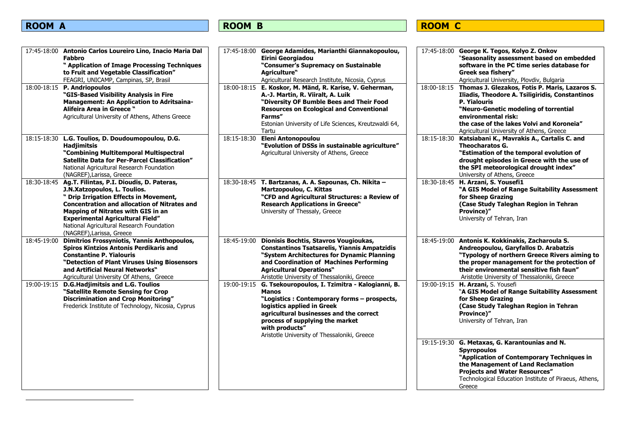# <span id="page-5-0"></span>ROOM C

| 17:45-18:00 Antonio Carlos Loureiro Lino, Inacio Maria Dal<br><b>Fabbro</b><br>" Application of Image Processing Techniques<br>to Fruit and Vegetable Classification"<br>FEAGRI, UNICAMP, Campinas, SP, Brasil                                                                                                                                       | 17:45-18:00 George Adamides, Marianthi Giannakopoulou,<br>Eirini Georgiadou<br>"Consumer's Supremacy on Sustainable<br>Agriculture"<br>Agricultural Research Institute, Nicosia, Cyprus                                                                                                                     | 17:45-18:00 George K. Tegos, Kolyo Z. Onkov<br>"Seasonality assessment based on embedded<br>software in the PC time series database for<br>Greek sea fishery"<br>Agricultural University, Plovdiv, Bulgaria                                                                                       |
|------------------------------------------------------------------------------------------------------------------------------------------------------------------------------------------------------------------------------------------------------------------------------------------------------------------------------------------------------|-------------------------------------------------------------------------------------------------------------------------------------------------------------------------------------------------------------------------------------------------------------------------------------------------------------|---------------------------------------------------------------------------------------------------------------------------------------------------------------------------------------------------------------------------------------------------------------------------------------------------|
| 18:00-18:15 P. Andriopoulos<br>"GIS-Based Visibility Analysis in Fire<br>Management: An Application to Adritsaina-<br>Alifeira Area in Greece "<br>Agricultural University of Athens, Athens Greece                                                                                                                                                  | 18:00-18:15 E. Koskor, M. Mänd, R. Karise, V. Geherman,<br>A.-J. Martin, R. Viiralt, A. Luik<br>"Diversity OF Bumble Bees and Their Food<br><b>Resources on Ecological and Conventional</b><br>Farms"<br>Estonian University of Life Sciences, Kreutzwaldi 64,<br>Tartu                                     | 18:00-18:15<br>Thomas J. Glezakos, Fotis P. Maris, Lazaros S.<br>Iliadis, Theodore A. Tsiligiridis, Constantinos<br><b>P. Yialouris</b><br>"Neuro-Genetic modeling of torrential<br>environmental risk:<br>the case of the lakes Volvi and Koroneia"<br>Agricultural University of Athens, Greece |
| 18:15-18:30 L.G. Toulios, D. Doudoumopoulou, D.G.<br><b>Hadjimitsis</b><br>"Combining Multitemporal Multispectral<br>Satellite Data for Per-Parcel Classification"<br>National Agricultural Research Foundation<br>(NAGREF), Larissa, Greece                                                                                                         | 18:15-18:30<br><b>Eleni Antonopoulou</b><br>"Evolution of DSSs in sustainable agriculture"<br>Agricultural University of Athens, Greece                                                                                                                                                                     | 18:15-18:30<br>Katsiabani K., Mavrakis A., Cartalis C. and<br><b>Theocharatos G.</b><br>"Estimation of the temporal evolution of<br>drought episodes in Greece with the use of<br>the SPI meteorological drought index"<br>University of Athens, Greece                                           |
| 18:30-18:45<br>Ag.T. Filintas, P.I. Dioudis, D. Pateras,<br>J.N.Xatzopoulos, L. Toulios.<br>" Drip Irrigation Effects in Movement,<br><b>Concentration and allocation of Nitrates and</b><br>Mapping of Nitrates with GIS in an<br><b>Experimental Agricultural Field"</b><br>National Agricultural Research Foundation<br>(NAGREF), Larissa, Greece | 18:30-18:45 T. Bartzanas, A. A. Sapounas, Ch. Nikita -<br>Martzopoulou, C. Kittas<br>"CFD and Agricultural Structures: a Review of<br><b>Research Applications in Greece"</b><br>University of Thessaly, Greece                                                                                             | 18:30-18:45 H. Arzani, S. Yousefi1<br>"A GIS Model of Range Suitability Assessment<br>for Sheep Grazing<br>(Case Study Taleghan Region in Tehran<br>Province)"<br>University of Tehran, Iran                                                                                                      |
| 18:45-19:00<br>Dimitrios Frossyniotis, Yannis Anthopoulos,<br><b>Spiros Kintzios Antonis Perdikaris and</b><br><b>Constantine P. Yialouris</b><br>"Detection of Plant Viruses Using Biosensors<br>and Artificial Neural Networks"<br>Agricultural University Of Athens, Greece                                                                       | Dionisis Bochtis, Stavros Vougioukas,<br>18:45-19:00<br><b>Constantinos Tsatsarelis, Yiannis Ampatzidis</b><br>"System Architectures for Dynamic Planning<br>and Coordination of Machines Performing<br><b>Agricultural Operations"</b><br>Aristotle University of Thessaloniki, Greece                     | 18:45-19:00<br>Antonis K. Kokkinakis, Zacharoula S.<br>Andreopoulou, Garyfallos D. Arabatzis<br>"Typology of northern Greece Rivers aiming to<br>the proper management for the protection of<br>their environmental sensitive fish faun"<br>Aristotle University of Thessaloniki, Greece          |
| 19:00-19:15<br><b>D.G.Hadjimitsis and L.G. Toulios</b><br>"Satellite Remote Sensing for Crop<br><b>Discrimination and Crop Monitoring"</b><br>Frederick Institute of Technology, Nicosia, Cyprus                                                                                                                                                     | G. Tsekouropoulos, I. Tzimitra - Kalogianni, B.<br>19:00-19:15<br><b>Manos</b><br>"Logistics: Contemporary forms - prospects,<br>logistics applied in Greek<br>agricultural businesses and the correct<br>process of supplying the market<br>with products"<br>Aristotle University of Thessaloniki, Greece | 19:00-19:15 H. Arzani, S. Yousefi<br>"A GIS Model of Range Suitability Assessment<br>for Sheep Grazing<br>(Case Study Taleghan Region in Tehran<br>Province)"<br>University of Tehran, Iran                                                                                                       |
|                                                                                                                                                                                                                                                                                                                                                      |                                                                                                                                                                                                                                                                                                             | 19:15-19:30 G. Metaxas, G. Karantounias and N.<br><b>Spyropoulos</b><br>"Application of Contemporary Techniques in<br>the Management of Land Reclamation<br><b>Projects and Water Resources"</b><br>Technological Education Institute of Piraeus, Athens,<br>Greece                               |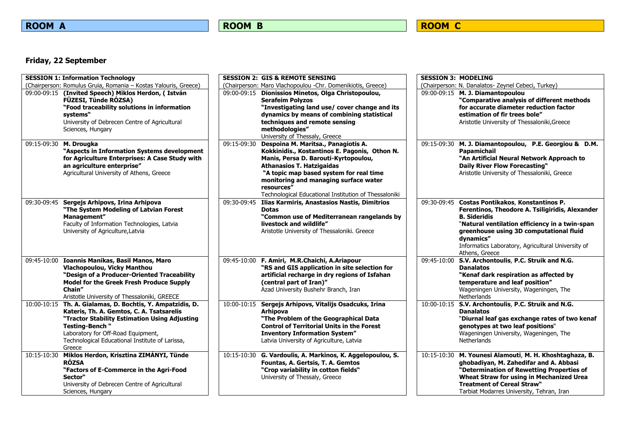# ROOM C

## **Friday, 22 September**

| <b>SESSION 1: Information Technology</b>                                                                                                                                                                                                                                       |                          | <b>SESSION 2: GIS &amp; REMOTE SENSING</b>                                                                                                                                                                                                                                                                                  | <b>SESSION 3: MODELING</b> |                                                                                                                                                                                                                                                                                                            |
|--------------------------------------------------------------------------------------------------------------------------------------------------------------------------------------------------------------------------------------------------------------------------------|--------------------------|-----------------------------------------------------------------------------------------------------------------------------------------------------------------------------------------------------------------------------------------------------------------------------------------------------------------------------|----------------------------|------------------------------------------------------------------------------------------------------------------------------------------------------------------------------------------------------------------------------------------------------------------------------------------------------------|
| (Chairperson: Romulus Gruia, Romania - Kostas Yalouris, Greece)                                                                                                                                                                                                                |                          | (Chairperson: Maro Vlachopoulou -Chr. Domenikiotis, Greece)                                                                                                                                                                                                                                                                 |                            | (Chairperson: N. Danalatos- Zeynel Cebeci, Turkey)                                                                                                                                                                                                                                                         |
| 09:00-09:15 (Invited Speech) Miklos Herdon, (István<br>FÜZESI, Tünde RÓZSA)<br>"Food traceability solutions in information<br>systems"<br>University of Debrecen Centre of Agricultural<br>Sciences, Hungary                                                                   |                          | 09:00-09:15 Dionissios Minetos, Olga Christopoulou,<br><b>Serafeim Polyzos</b><br>"Investigating land use/ cover change and its<br>dynamics by means of combining statistical<br>techniques and remote sensing<br>methodologies"<br>University of Thessaly, Greece                                                          |                            | 09:00-09:15 M. J. Diamantopoulou<br>"Comparative analysis of different methods<br>for accurate diameter reduction factor<br>estimation of fir trees bole"<br>Aristotle University of Thessaloniki, Greece                                                                                                  |
| 09:15-09:30 M. Drougka<br>"Aspects in Information Systems development<br>for Agriculture Enterprises: A Case Study with<br>an agriculture enterprise"<br>Agricultural University of Athens, Greece                                                                             | 09:15-09:30              | Despoina M. Maritsa., Panagiotis A.<br>Kokkinidis., Kostantinos E. Pagonis, Othon N.<br>Manis, Persa D. Barouti-Kyrtopoulou,<br><b>Athanasios T. Hatzigaidas</b><br>"A topic map based system for real time<br>monitoring and managing surface water<br>resources"<br>Technological Educational Institution of Thessaloniki |                            | 09:15-09:30 M. J. Diamantopoulou, P.E. Georgiou & D.M.<br><b>Papamichail</b><br>"An Artificial Neural Network Approach to<br><b>Daily River Flow Forecasting"</b><br>Aristotle University of Thessaloniki, Greece                                                                                          |
| 09:30-09:45 Sergejs Arhipovs, Irina Arhipova<br>"The System Modeling of Latvian Forest<br>Management"<br>Faculty of Information Technologies, Latvia<br>University of Agriculture, Latvia                                                                                      | 09:30-09:45              | Ilias Karmiris, Anastasios Nastis, Dimitrios<br><b>Dotas</b><br>"Common use of Mediterranean rangelands by<br>livestock and wildlife"<br>Aristotle University of Thessaloniki. Greece                                                                                                                                       |                            | 09:30-09:45 Costas Pontikakos, Konstantinos P.<br>Ferentinos, Theodore A. Tsiligiridis, Alexander<br><b>B. Sideridis</b><br>"Natural ventilation efficiency in a twin-span<br>greenhouse using 3D computational fluid<br>dynamics"<br>Informatics Laboratory, Agricultural University of<br>Athens, Greece |
| 09:45-10:00 Ioannis Manikas, Basil Manos, Maro<br>Vlachopoulou, Vicky Manthou<br>"Design of a Producer-Oriented Traceability<br><b>Model for the Greek Fresh Produce Supply</b><br>Chain"<br>Aristotle University of Thessaloniki, GREECE                                      | 09:45-10:00              | F. Amiri, M.R.Chaichi, A.Ariapour<br>"RS and GIS application in site selection for<br>artificial recharge in dry regions of Isfahan<br>(central part of Iran)"<br>Azad University Bushehr Branch, Iran                                                                                                                      |                            | 09:45-10:00 S.V. Archontoulis, P.C. Struik and N.G.<br><b>Danalatos</b><br>"Kenaf dark respiration as affected by<br>temperature and leaf position"<br>Wageningen University, Wageningen, The<br>Netherlands                                                                                               |
| 10:00-10:15 Th. A. Gialamas, D. Bochtis, Y. Ampatzidis, D.<br>Kateris, Th. A. Gemtos, C. A. Tsatsarelis<br>"Tractor Stability Estimation Using Adjusting<br>Testing-Bench "<br>Laboratory for Off-Road Equipment,<br>Technological Educational Institute of Larissa,<br>Greece | $\overline{10:}00-10:15$ | Sergejs Arhipovs, Vitalijs Osadcuks, Irina<br><b>Arhipova</b><br>"The Problem of the Geographical Data<br><b>Control of Territorial Units in the Forest</b><br><b>Inventory Information System"</b><br>Latvia University of Agriculture, Latvia                                                                             |                            | 10:00-10:15 S.V. Archontoulis, P.C. Struik and N.G.<br><b>Danalatos</b><br>"Diurnal leaf gas exchange rates of two kenaf<br>genotypes at two leaf positions"<br>Wageningen University, Wageningen, The<br>Netherlands                                                                                      |
| 10:15-10:30 Miklos Herdon, Krisztina ZIMÁNYI, Tünde<br>RÓZSA<br>"Factors of E-Commerce in the Agri-Food<br>Sector"<br>University of Debrecen Centre of Agricultural<br>Sciences, Hungary                                                                                       | 10:15-10:30              | G. Vardoulis, A. Markinos, K. Aggelopoulou, S.<br>Fountas, A. Gertsis, T. A. Gemtos<br>"Crop variability in cotton fields"<br>University of Thessaly, Greece                                                                                                                                                                |                            | 10:15-10:30 M. Younesi Alamouti, M. H. Khoshtaghaza, B.<br>ghobadiyan, M. Zahedifar and A. Abbasi<br>"Determination of Rewetting Properties of<br>Wheat Straw for using in Mechanized Urea<br><b>Treatment of Cereal Straw"</b><br>Tarbiat Modarres University, Tehran, Iran                               |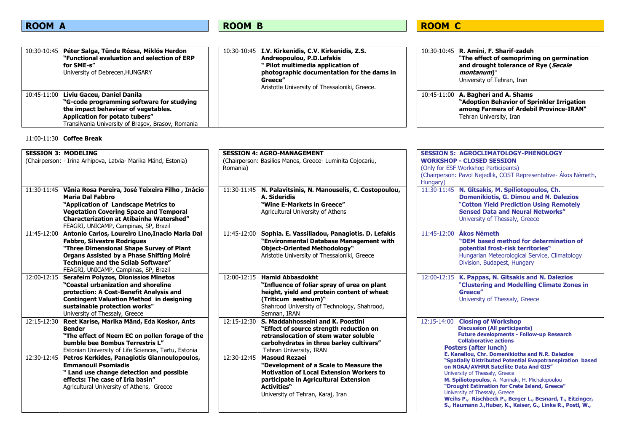# ROOM C

| 10:30-10:45 Péter Salga, Tünde Rózsa, Miklós Herdon<br>"Functional evaluation and selection of ERP<br>for SME-s"<br>University of Debrecen, HUNGARY                                                                | 10:30-10:45 I.V. Kirkenidis, C.V. Kirkenidis, Z.S.<br>Andreopoulou, P.D.Lefakis<br>" Pilot multimedia application of<br>photographic documentation for the dams in<br>Greece'<br>Aristotle University of Thessaloniki, Greece. | 10:30-10:45 R. Amini, F. Sharif-zadeh<br>"The effect of osmopriming on germination<br>and drought tolerance of Rye (Secale<br>montanum)"<br>University of Tehran, Iran |
|--------------------------------------------------------------------------------------------------------------------------------------------------------------------------------------------------------------------|--------------------------------------------------------------------------------------------------------------------------------------------------------------------------------------------------------------------------------|------------------------------------------------------------------------------------------------------------------------------------------------------------------------|
| 10:45-11:00 Liviu Gaceu, Daniel Danila<br>"G-code programming software for studying<br>the impact behaviour of vegetables.<br>Application for potato tubers"<br>Transilvania University of Brasov, Brasov, Romania |                                                                                                                                                                                                                                | 10:45-11:00 A. Bagheri and A. Shams<br>"Adoption Behavior of Sprinkler Irrigation<br>among Farmers of Ardebil Province-IRAN"<br>Tehran University, Iran                |

### 11:00-11:30 **Coffee Break**

| <b>SESSION 3: MODELING</b><br>(Chairperson: - Irina Arhipova, Latvia- Marika Mänd, Estonia)<br>11:30-11:45 Vânia Rosa Pereira, José Teixeira Filho, Inácio<br><b>Maria Dal Fabbro</b><br>"Application of Landscape Metrics to<br><b>Vegetation Covering Space and Temporal</b><br><b>Characterization at Atibainha Watershed"</b> | <b>SESSION 4: AGRO-MANAGEMENT</b><br>(Chairperson: Basilios Manos, Greece- Luminita Cojocariu,<br>Romania)<br>11:30-11:45 N. Palavitsinis, N. Manouselis, C. Costopoulou,<br>A. Sideridis<br>"Wine E-Markets in Greece"<br>Agricultural University of Athens | <b>SESSION 5: AGROCLIMATOLOGY-PHENOLOGY</b><br><b>WORKSHOP - CLOSED SESSION</b><br>(Only for ESF Workshop Participants)<br>(Chairperson: Pavol Nejedlik, COST Representative- Ákos Németh,<br>Hungary)<br>11:30-11:45 N. Gitsakis, M. Spiliotopoulos, Ch.<br><b>Domenikiotis, G. Dimou and N. Dalezios</b><br>"Cotton Yield Prediction Using Remotely<br><b>Sensed Data and Neural Networks"</b><br>University of Thessaly, Greece |  |
|-----------------------------------------------------------------------------------------------------------------------------------------------------------------------------------------------------------------------------------------------------------------------------------------------------------------------------------|--------------------------------------------------------------------------------------------------------------------------------------------------------------------------------------------------------------------------------------------------------------|------------------------------------------------------------------------------------------------------------------------------------------------------------------------------------------------------------------------------------------------------------------------------------------------------------------------------------------------------------------------------------------------------------------------------------|--|
| FEAGRI, UNICAMP, Campinas, SP, Brazil<br>11:45-12:00<br>Antonio Carlos, Loureiro Lino, Inacio Maria Dal<br><b>Fabbro, Silvestre Rodrigues</b><br>"Three Dimensional Shape Survey of Plant<br>Organs Assisted by a Phase Shifting Moiré<br><b>Technique and the Scilab Software"</b><br>FEAGRI, UNICAMP, Campinas, SP, Brazil      | 11:45-12:00<br>Sophia. E. Vassiliadou, Panagiotis. D. Lefakis<br>"Environmental Database Management with<br><b>Object-Oriented Methodology"</b><br>Aristotle University of Thessaloniki, Greece                                                              | 11:45-12:00<br>Ákos Németh<br>"DEM based method for determination of<br>potential frost-risk territories"<br>Hungarian Meteorological Service, Climatology<br>Division, Budapest, Hungary                                                                                                                                                                                                                                          |  |
| <b>Serafeim Polyzos, Dionissios Minetos</b><br>12:00-12:15<br>"Coastal urbanization and shoreline<br>protection: A Cost-Benefit Analysis and<br><b>Contingent Valuation Method in designing</b><br>sustainable protection works"<br>University of Thessaly, Greece                                                                | 12:00-12:15<br><b>Hamid Abbasdokht</b><br>"Influence of foliar spray of urea on plant"<br>height, yield and protein content of wheat<br>(Triticum aestivum)"<br>Shahrood University of Technology, Shahrood,<br>Semnan, IRAN                                 | 12:00-12:15 K. Pappas, N. Gitsakis and N. Dalezios<br>"Clustering and Modelling Climate Zones in<br>Greece"<br>University of Thessaly, Greece                                                                                                                                                                                                                                                                                      |  |
| 12:15-12:30<br>Reet Karise, Marika Mänd, Eda Koskor, Ants<br><b>Bender</b><br>"The effect of Neem EC on pollen forage of the<br>bumble bee Bombus Terrestris L"<br>Estonian University of Life Sciences, Tartu, Estonia                                                                                                           | 12:15-12:30 S. Maddahhosseini and K. Poostini<br>"Effect of source strength reduction on<br>retranslocation of stem water soluble<br>carbohydrates in three barley cultivars"<br>Tehran University, IRAN                                                     | <b>Closing of Workshop</b><br>12:15-14:00<br><b>Discussion (All participants)</b><br><b>Future developments - Follow-up Research</b><br><b>Collaborative actions</b><br><b>Posters (after lunch)</b><br>E. Kanellou, Chr. Domenikioths and N.R. Dalezios                                                                                                                                                                           |  |
| 12:30-12:45<br>Petros Kerkides, Panagiotis Giannoulopoulos,<br><b>Emmanouil Psomiadis</b><br>" Land use change detection and possible<br>effects: The case of Iria basin"<br>Agricultural University of Athens, Greece                                                                                                            | 12:30-12:45<br><b>Masoud Rezaei</b><br>"Development of a Scale to Measure the<br><b>Motivation of Local Extension Workers to</b><br>participate in Agricultural Extension<br><b>Activities</b> "<br>University of Tehran, Karaj, Iran                        | "Spatially Distributed Potential Evapotranspiration based<br>on NOAA/AVHRR Satellite Data And GIS"<br>University of Thessaly, Greece<br>M. Spiliotopoulos, A. Marinaki, H. Michalopoulou<br>"Drought Estimation for Crete Island, Greece"<br>University of Thessaly, Greece<br>Weihs P., Rischbeck P., Berger L., Besnard, T., Eitzinger,<br>S., Haumann J., Huber, K., Kaiser, G., Linke R., Postl, W.,                           |  |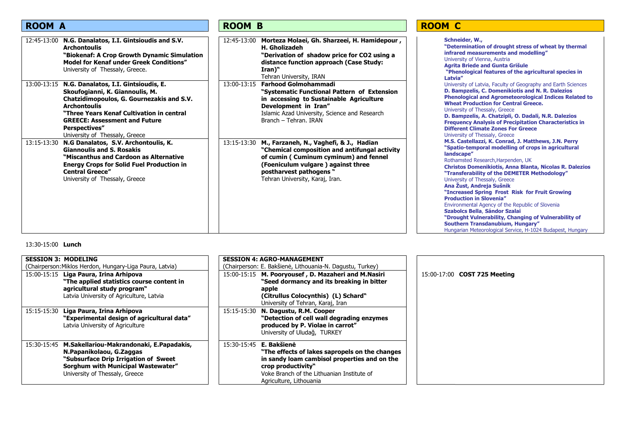| <b>ROOM A</b>                                                                                                                                                                                                                                                                                          | <b>ROOM B</b>                                                                                                                                                                                                                                        | <b>ROOM C</b>                                                                                                                                                                                                                                                                                                                                                                                                                                                                                                                                                                                                                                                                      |
|--------------------------------------------------------------------------------------------------------------------------------------------------------------------------------------------------------------------------------------------------------------------------------------------------------|------------------------------------------------------------------------------------------------------------------------------------------------------------------------------------------------------------------------------------------------------|------------------------------------------------------------------------------------------------------------------------------------------------------------------------------------------------------------------------------------------------------------------------------------------------------------------------------------------------------------------------------------------------------------------------------------------------------------------------------------------------------------------------------------------------------------------------------------------------------------------------------------------------------------------------------------|
| N.G. Danalatos, I.I. Gintsioudis and S.V.<br>12:45-13:00<br><b>Archontoulis</b><br>"Biokenaf: A Crop Growth Dynamic Simulation<br><b>Model for Kenaf under Greek Conditions"</b><br>University of Thessaly, Greece.                                                                                    | Morteza Molaei, Gh. Sharzeei, H. Hamidepour,<br>12:45-13:00<br><b>H.</b> Gholizadeh<br>"Derivation of shadow price for CO2 using a<br>distance function approach (Case Study:<br>$\mathbf{Iran}$ <sup>"</sup><br>Tehran University, IRAN             | Schneider, W.,<br>"Determination of drought stress of wheat by thermal<br>infrared measurements and modelling"<br>University of Vienna, Austria<br><b>Agrita Briede and Gunta Grišule</b><br>"Phenological features of the agricultural species in<br>Latvia"                                                                                                                                                                                                                                                                                                                                                                                                                      |
| 13:00-13:15 N.G. Danalatos, I.I. Gintsioudis, E.<br>Skoufogianni, K. Giannoulis, M.<br>Chatzidimopoulos, G. Gournezakis and S.V.<br><b>Archontoulis</b><br>"Three Years Kenaf Cultivation in central<br><b>GREECE: Assessment and Future</b><br><b>Perspectives"</b><br>University of Thessaly, Greece | <b>Farhood Golmohammadi</b><br>13:00-13:15<br>"Systematic Functional Pattern of Extension<br>in accessing to Sustainable Agriculture<br>Development in Iran"<br>Islamic Azad University, Science and Research<br>Branch - Tehran. IRAN               | University of Latvia, Faculty of Geography and Earth Sciences<br>D. Bampzelis, C. Domenikiotis and N. R. Dalezios<br><b>Phenological and Agrometeorological Indices Related to</b><br><b>Wheat Production for Central Greece.</b><br>University of Thessaly, Greece<br>D. Bampzelis, A. Chatzipli, O. Dadali, N.R. Dalezios<br><b>Frequency Analysis of Precipitation Characteristics in</b><br><b>Different Climate Zones For Greece</b><br>University of Thessaly, Greece                                                                                                                                                                                                        |
| N.G Danalatos, S.V. Archontoulis, K.<br>13:15-13:30<br><b>Giannoulis and S. Rosakis</b><br>"Miscanthus and Cardoon as Alternative<br><b>Energy Crops for Solid Fuel Production in</b><br><b>Central Greece"</b><br>University of Thessaly, Greece                                                      | 13:15-13:30<br>M., Farzaneh, N., Vaghefi, & J., Hadian<br>"Chemical composition and antifungal activity<br>of cumin (Cuminum cyminum) and fennel<br>(Foeniculum vulgare) against three<br>postharvest pathogens "<br>Tehran University, Karaj, Iran. | M.S. Castellazzi, K. Conrad, J. Matthews, J.N. Perry<br>"Spatio-temporal modelling of crops in agricultural<br>landscape"<br>Rothamsted Research, Harpenden, UK<br>Christos Domenikiotis, Anna Blanta, Nicolas R. Dalezios<br>"Transferability of the DEMETER Methodology"<br>University of Thessaly, Greece<br>Ana Žust, Andreja Sušnik<br>"Increased Spring Frost Risk for Fruit Growing<br><b>Production in Slovenia"</b><br>Environmental Agency of the Republic of Slovenia<br>Szabolcs Bella, Sándor Szalai<br>"Drought Vulnerability, Changing of Vulnerability of<br><b>Southern Transdanubium, Hungary"</b><br>Hungarian Meteorological Service, H-1024 Budapest, Hungary |

### 13:30-15:00 **Lunch**

| <b>SESSION 3: MODELING</b>                               | <b>SESSION 4: AGRO-MANAGEMENT</b>                                                          |
|----------------------------------------------------------|--------------------------------------------------------------------------------------------|
| (Chairperson: Miklos Herdon, Hungary-Liga Paura, Latvia) | (Chairperson: E. Bakšienė, Lithouania-N. Dagustu, Turkey)                                  |
| 15:00-15:15 Liga Paura, Irina Arhipova                   | 15:00-15:15 M. Pooryousef, D. Mazaheri and M.Nasiri<br>15:00-17:00 <b>COST 725 Meeting</b> |
| "The applied statistics course content in                | "Seed dormancy and its breaking in bitter                                                  |
| agricultural study program"                              | apple                                                                                      |
| Latvia University of Agriculture, Latvia                 | (Citrullus Colocynthis) (L) Schard"                                                        |
|                                                          | University of Tehran, Karaj, Iran                                                          |
| Liga Paura, Irina Arhipova<br>15:15-15:30                | 15:15-15:30 N. Dagustu, R.M. Cooper                                                        |
| "Experimental design of agricultural data"               | "Detection of cell wall degrading enzymes                                                  |
| Latvia University of Agriculture                         | produced by P. Violae in carrot"                                                           |
|                                                          | University of Uludağ, TURKEY                                                               |
| 15:30-15:45 M.Sakellariou-Makrandonaki, E.Papadakis,     | 15:30-15:45 <b>E. Bakšienė</b>                                                             |
|                                                          |                                                                                            |
| N.Papanikolaou, G.Zaggas                                 | "The effects of lakes sapropels on the changes                                             |
| "Subsurface Drip Irrigation of Sweet                     | in sandy loam cambisol properties and on the                                               |
| Sorghum with Municipal Wastewater"                       | crop productivity"                                                                         |
| University of Thessaly, Greece                           | Voke Branch of the Lithuanian Institute of                                                 |
|                                                          | Agriculture, Lithouania                                                                    |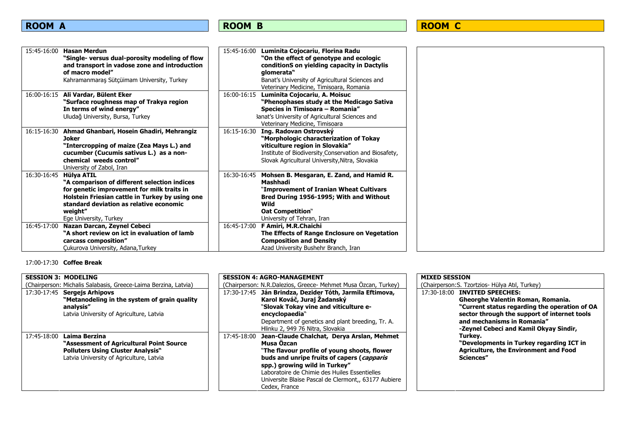| 15:45-16:00 | <b>Hasan Merdun</b><br>"Single- versus dual-porosity modeling of flow          | 15:45-16:00 | Luminita Cojocariu, Florina Radu<br>"On the effect of genotype and ecologic    |
|-------------|--------------------------------------------------------------------------------|-------------|--------------------------------------------------------------------------------|
|             | and transport in vadose zone and introduction                                  |             | conditionS on yielding capacity in Dactylis                                    |
|             | of macro model"                                                                |             | glomerata"                                                                     |
|             | Kahramanmaraş Sütçüimam University, Turkey                                     |             | Banat's University of Agricultural Sciences and                                |
|             |                                                                                |             | Veterinary Medicine, Timisoara, Romania                                        |
|             | 16:00-16:15 Ali Vardar, Bülent Eker<br>"Surface roughness map of Trakya region | 16:00-16:15 | Luminita Cojocariu, A. Moisuc<br>"Phenophases study at the Medicago Sativa     |
|             | In terms of wind energy"                                                       |             | Species in Timisoara - Romania"                                                |
|             | Uludağ University, Bursa, Turkey                                               |             | 3anat's University of Agricultural Sciences and                                |
|             |                                                                                |             | Veterinary Medicine, Timisoara                                                 |
|             | 16:15-16:30 Ahmad Ghanbari, Hosein Ghadiri, Mehrangiz                          | 16:15-16:30 | Ing. Radovan Ostrovský                                                         |
|             | Joker                                                                          |             | "Morphologic characterization of Tokay                                         |
|             | "Intercropping of maize (Zea Mays L.) and                                      |             | viticulture region in Slovakia"                                                |
|             | cucumber (Cucumis sativus L.) as a non-                                        |             | Institute of Biodiversity Conservation and Biosafety,                          |
|             | chemical weeds control"                                                        |             | Slovak Agricultural University, Nitra, Slovakia                                |
| 16:30-16:45 | University of Zabol, Iran<br>Hülya ATIL                                        |             | 16:30-16:45 Mohsen B. Mesgaran, E. Zand, and Hamid R.                          |
|             | "A comparison of different selection indices                                   |             | Mashhadi                                                                       |
|             | for genetic improvement for milk traits in                                     |             | "Improvement of Iranian Wheat Cultivars                                        |
|             | Holstein Friesian cattle in Turkey by using one                                |             | Bred During 1956-1995; With and Without                                        |
|             | standard deviation as relative economic                                        |             | Wild                                                                           |
|             | weight"                                                                        |             | <b>Oat Competition"</b>                                                        |
|             | Ege University, Turkey                                                         |             | University of Tehran, Iran                                                     |
| 16:45-17:00 | Nazan Darcan, Zeynel Cebeci                                                    |             | 16:45-17:00 F Amiri, M.R.Chaichi                                               |
|             | "A short review on ict in evaluation of lamb<br>carcass composition"           |             | The Effects of Range Enclosure on Vegetation<br><b>Composition and Density</b> |
|             | Cukurova University, Adana, Turkey                                             |             | Azad University Bushehr Branch, Iran                                           |
|             |                                                                                |             |                                                                                |

17:00-17:30 **Coffee Break**

| <b>SESSION 3: MODELING</b>                                                                                                                                        | <b>SESSION 4: AGRO-MANAGEMENT</b>                                                                                                                                                                                                                                                                                                | <b>MIXED SESSION</b>                                                                                                                                                                                                                                  |
|-------------------------------------------------------------------------------------------------------------------------------------------------------------------|----------------------------------------------------------------------------------------------------------------------------------------------------------------------------------------------------------------------------------------------------------------------------------------------------------------------------------|-------------------------------------------------------------------------------------------------------------------------------------------------------------------------------------------------------------------------------------------------------|
| (Chairperson: Michalis Salabasis, Greece-Laima Berzina, Latvia)                                                                                                   | (Chairperson: N.R.Dalezios, Greece- Mehmet Musa Özcan, Turkey)                                                                                                                                                                                                                                                                   | (Chairperson: S. Tzortzios - Hülya Atıl, Turkey)                                                                                                                                                                                                      |
| 17:30-17:45 Sergejs Arhipovs<br>"Metanodeling in the system of grain quality"<br>analysis"<br>Latvia University of Agriculture, Latvia                            | 17:30-17:45 Ján Brindza, Dezider Tóth, Jarmila Eftimova,<br>Karol Kováč, Juraj Žadanský<br>"Slovak Tokay vine and viticulture e-<br>encyclopaedia"<br>Department of genetics and plant breeding, Tr. A.<br>Hlinku 2, 949 76 Nitra, Slovakia                                                                                      | 17:30-18:00<br><b>INVITED SPEECHES:</b><br>Gheorghe Valentin Roman, Romania.<br>"Current status regarding the operation of OA<br>sector through the support of internet tools<br>and mechanisms in Romania"<br>-Zeynel Cebeci and Kamil Okyay Sindir, |
| Laima Berzina<br>17:45-18:00<br>"Assessment of Agricultural Point Source<br><b>Polluters Using Cluster Analysis</b> "<br>Latvia University of Agriculture, Latvia | Jean-Claude Chalchat, Derya Arslan, Mehmet<br>17:45-18:00<br>Musa Özcan<br>"The flavour profile of young shoots, flower<br>buds and unripe fruits of capers (capparis<br>spp.) growing wild in Turkey"<br>Laboratoire de Chimie des Huiles Essentielles<br>Universite Blaise Pascal de Clermont., 63177 Aubiere<br>Cedex, France | Turkev.<br>"Developments in Turkey regarding ICT in<br><b>Agriculture, the Environment and Food</b><br>Sciences"                                                                                                                                      |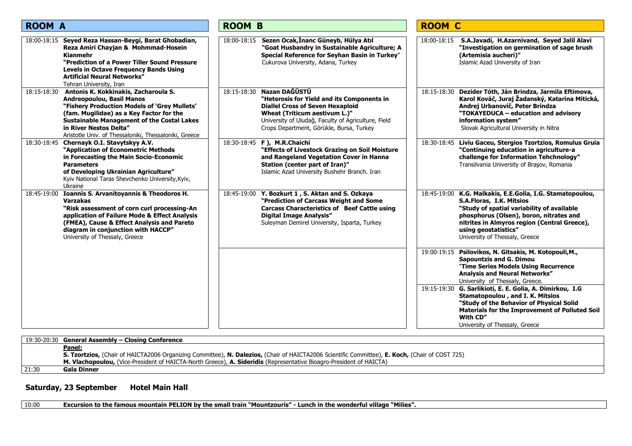| <b>ROOM A</b>                                                                                                                                                                                                                                                                                                               | <b>ROOM B</b>                                                                                                                                                                                                                                             | <b>ROOM C</b>                                                                                                                                                                                                                                                                                                                                                                                                                                                 |
|-----------------------------------------------------------------------------------------------------------------------------------------------------------------------------------------------------------------------------------------------------------------------------------------------------------------------------|-----------------------------------------------------------------------------------------------------------------------------------------------------------------------------------------------------------------------------------------------------------|---------------------------------------------------------------------------------------------------------------------------------------------------------------------------------------------------------------------------------------------------------------------------------------------------------------------------------------------------------------------------------------------------------------------------------------------------------------|
| 18:00-18:15 Seyed Reza Hassan-Beygi, Barat Ghobadian,<br>Reza Amiri Chayjan & Mohmmad-Hosein<br><b>Kianmehr</b><br>"Prediction of a Power Tiller Sound Pressure<br><b>Levels in Octave Frequency Bands Using</b><br><b>Artificial Neural Networks"</b><br>Tehran University, Iran                                           | Sezen Ocak, İnanc Güneyb, Hülya Atıl<br>18:00-18:15<br>"Goat Husbandry in Sustainable Agriculture; A<br>Special Reference for Seyhan Basin in Turkey"<br>Cukurova University, Adana, Turkey                                                               | S.A.Javadi, H.Azarnivand, Seyed Jalil Alavi<br>18:00-18:15<br>"Investigation on germination of sage brush<br>(Artemisia aucheri)"<br>Islamic Azad University of Iran                                                                                                                                                                                                                                                                                          |
| Antonis K. Kokkinakis, Zacharoula S.<br>18:15-18:30<br><b>Andreopoulou, Basil Manos</b><br>"Fishery Production Models of 'Grey Mullets'<br>(fam. Mugilidae) as a Key Factor for the<br><b>Sustainable Management of the Costal Lakes</b><br>in River Nestos Delta"<br>Aristotle Univ. of Thessaloniki, Thessaloniki, Greece | Nazan DAĞÜSTÜ<br>18:15-18:30<br>"Heterosis for Yield and its Components in<br><b>Diallel Cross of Seven Hexaploid</b><br>Wheat (Triticum aestivum L.)"<br>University of Uludağ, Faculty of Agriculture, Field<br>Crops Department, Görükle, Bursa, Turkey | 18:15-18:30 Dezider Tóth, Ján Brindza, Jarmila Eftimova,<br>Karol Kováč, Juraj Žadanský, Katarína Mitická,<br>Andrej Urbanovič, Peter Brindza<br>"TOKAYEDUCA - education and advisory<br>information system"<br>Slovak Agricultural University in Nitra                                                                                                                                                                                                       |
| 18:30-18:45 Chernayk O.I. Stavytskyy A.V.<br>"Application of Econometric Methods<br>in Forecasting the Main Socio-Economic<br><b>Parameters</b><br>of Developing Ukrainian Agriculture"<br>Kyiv National Taras Shevchenko University, Kyiv,<br>Ukraine                                                                      | 18:30-18:45 F), M.R.Chaichi<br>"Effects of Livestock Grazing on Soil Moisture<br>and Rangeland Vegetation Cover in Hanna<br>Station (center part of Iran)"<br>Islamic Azad University Bushehr Branch. Iran                                                | Liviu Gaceu, Stergios Tzortzios, Romulus Gruia<br>18:30-18:45<br>"Continuing education in agriculture-a<br>challenge for Information Tehchnology"<br>Transilvania University of Brasov, Romania                                                                                                                                                                                                                                                               |
| Ioannis S. Arvanitoyannis & Theodoros H.<br>18:45-19:00<br><b>Varzakas</b><br>"Risk assessment of corn curl processing-An<br>application of Failure Mode & Effect Analysis<br>(FMEA), Cause & Effect Analysis and Pareto<br>diagram in conjunction with HACCP"<br>University of Thessaly, Greece                            | Y. Bozkurt 1, S. Aktan and S. Ozkaya<br>18:45-19:00<br>"Prediction of Carcass Weight and Some<br><b>Carcass Characteristics of Beef Cattle using</b><br><b>Digital Image Analysis"</b><br>Suleyman Demirel University, Isparta, Turkey                    | 18:45-19:00 K.G. Malkakis, E.E.Golia, I.G. Stamatopoulou,<br>S.A.Floras, I.K. Mitsios<br>"Study of spatial variability of available<br>phosphorus (Olsen), boron, nitrates and<br>nitrites in Almyros region (Central Greece),<br>using geostatistics"<br>University of Thessaly, Greece                                                                                                                                                                      |
|                                                                                                                                                                                                                                                                                                                             |                                                                                                                                                                                                                                                           | Psilovikos, N. Gitsakis, M. Kotopouli, M.,<br>19:00-19:15<br><b>Sapountzis and G. Dimou</b><br>"Time Series Models Using Recurrence<br><b>Analysis and Neural Networks"</b><br>University of Thessaly, Greece.<br>G. Sarlikioti, E. E. Golia, A. Dimirkou, I.G<br>19:15-19:30<br>Stamatopoulou, and I. K. Mitsios<br>"Study of the Behavior of Physical Solid<br>Materials for the Improvement of Polluted Soil<br>With CD"<br>University of Thessaly, Greece |

|       | 19:30-20:30 General Assembly - Closing Conference                                                                                               |
|-------|-------------------------------------------------------------------------------------------------------------------------------------------------|
|       | <u>Panel:</u>                                                                                                                                   |
|       | S. Tzortzios, (Chair of HAICTA2006 Organizing Committee), N. Dalezios, (Chair of HAICTA2006 Scientific Committee), E. Koch, (Chair of COST 725) |
|       | M. Vlachopoulou, (Vice-President of HAICTA-North Greece), A. Sideridis (Representative Bioagro-President of HAICTA)                             |
| 21:30 | Gala Dinner                                                                                                                                     |

### Saturday, 23 September Hotel Main Hall

10:00 **Excursion to the famous mountain PELION by the small train "Mountzouris" - Lunch in the wonderful village "Milies".**